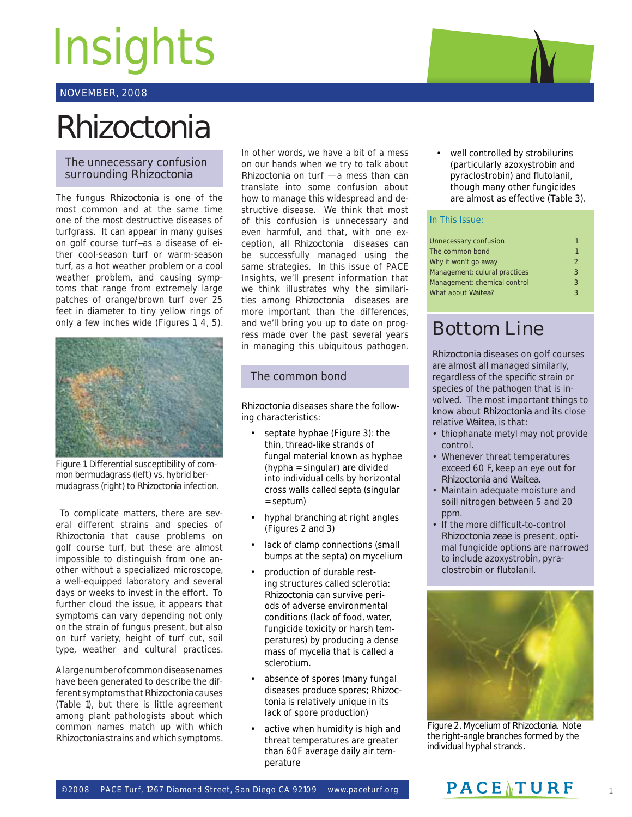# **Insights**

# NOVEMBER, 2008

# *Rhizoctonia*

## The unnecessary confusion surrounding *Rhizoctonia*

The fungus *Rhizoctonia* is one of the most common and at the same time one of the most destructive diseases of turfgrass. It can appear in many guises on golf course turf—as a disease of either cool-season turf or warm-season turf, as a hot weather problem or a cool weather problem, and causing symptoms that range from extremely large patches of orange/brown turf over 25 feet in diameter to tiny yellow rings of only a few inches wide (Figures 1, 4, 5).



Figure 1. Differential susceptibility of common bermudagrass (left) vs. hybrid bermudagrass (right) to *Rhizoctonia* infection.

 To complicate matters, there are several different strains and species of *Rhizoctonia* that cause problems on golf course turf, but these are almost impossible to distinguish from one another without a specialized microscope, a well-equipped laboratory and several days or weeks to invest in the effort. To further cloud the issue, it appears that symptoms can vary depending not only on the strain of fungus present, but also on turf variety, height of turf cut, soil type, weather and cultural practices.

A large number of common disease names have been generated to describe the different symptoms that *Rhizoctonia* causes (Table 1), but there is little agreement among plant pathologists about which common names match up with which *Rhizoctonia* strains and which symptoms.

In other words, we have a bit of a mess on our hands when we try to talk about *Rhizoctonia* on turf — a mess than can translate into some confusion about how to manage this widespread and destructive disease. We think that most of this confusion is unnecessary and even harmful, and that, with one exception, all *Rhizoctonia* diseases can be successfully managed using the same strategies. In this issue of PACE Insights, we'll present information that we think illustrates why the similarities among *Rhizoctonia* diseases are more important than the differences, and we'll bring you up to date on progress made over the past several years in managing this ubiquitous pathogen.

# The common bond

*Rhizoctonia* diseases share the following characteristics:

- septate hyphae (Figure 3): the thin, thread-like strands of fungal material known as hyphae (hypha = singular) are divided into individual cells by horizontal cross walls called septa (singular = septum)
- hyphal branching at right angles (Figures 2 and 3)
- lack of clamp connections (small bumps at the septa) on mycelium
- production of durable resting structures called sclerotia: *Rhizoctonia* can survive periods of adverse environmental conditions (lack of food, water, fungicide toxicity or harsh temperatures) by producing a dense mass of mycelia that is called a sclerotium.
- absence of spores (many fungal diseases produce spores; *Rhizoctonia* is relatively unique in its lack of spore production)
- active when humidity is high and threat temperatures are greater than 60F average daily air temperature

well controlled by strobilurins (particularly azoxystrobin and pyraclostrobin) and flutolanil, though many other fungicides are almost as effective (Table 3).

#### In This Issue:

| Unnecessary confusion         |               |
|-------------------------------|---------------|
| The common bond               |               |
| Why it won't go away          | $\mathcal{P}$ |
| Management: culural practices | 3             |
| Management: chemical control  | $\mathcal{R}$ |
| What about Waitea?            | ર             |
|                               |               |

# Bottom Line

*Rhizoctonia* diseases on golf courses are almost all managed similarly, regardless of the specific strain or species of the pathogen that is involved. The most important things to know about *Rhizoctonia* and its close relative *Waitea*, is that:

- thiophanate metyl may not provide control.
- Whenever threat temperatures exceed 60 F, keep an eye out for *Rhizoctonia* and *Waitea*.
- Maintain adequate moisture and soill nitrogen between 5 and 20 ppm.
- If the more difficult-to-control *Rhizoctonia zeae* is present, optimal fungicide options are narrowed to include azoxystrobin, pyraclostrobin or flutolanil.



Figure 2. Mycelium of *Rhizoctonia*. Note the right-angle branches formed by the individual hyphal strands.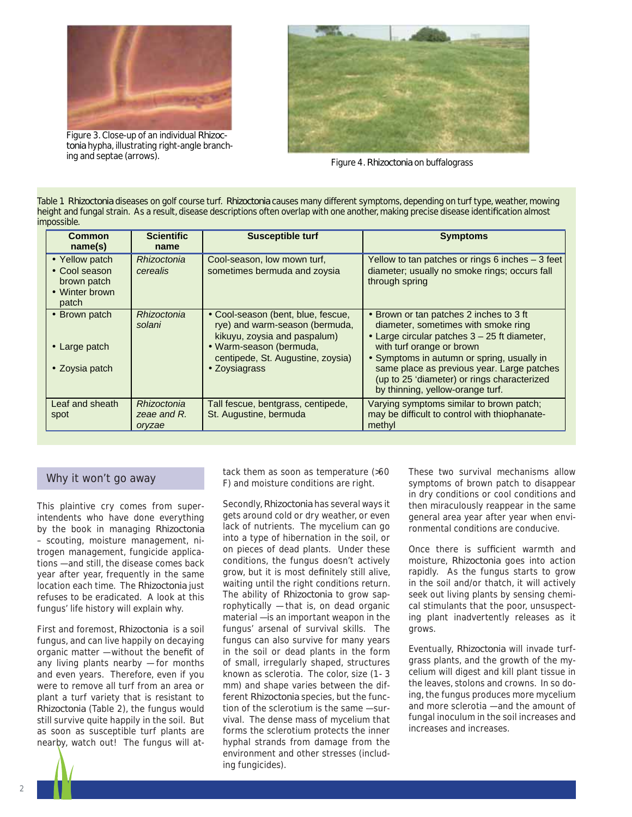

Figure 3. Close-up of an individual *Rhizoctonia* hypha, illustrating right-angle branching and septae (arrows). Figure 4. *Rhizoctonia* on buffalograss



Table 1. *Rhizoctonia* diseases on golf course turf. *Rhizoctonia* causes many different symptoms, depending on turf type, weather, mowing height and fungal strain. As a result, disease descriptions often overlap with one another, making precise disease identification almost impossible.

| <b>Common</b><br>name(s)                                                  | <b>Scientific</b><br>name            | <b>Susceptible turf</b>                                                                                                                                                               | <b>Symptoms</b>                                                                                                                                                                                                                                                                                                                            |
|---------------------------------------------------------------------------|--------------------------------------|---------------------------------------------------------------------------------------------------------------------------------------------------------------------------------------|--------------------------------------------------------------------------------------------------------------------------------------------------------------------------------------------------------------------------------------------------------------------------------------------------------------------------------------------|
| • Yellow patch<br>• Cool season<br>brown patch<br>• Winter brown<br>patch | Rhizoctonia<br>cerealis              | Cool-season, low mown turf,<br>sometimes bermuda and zoysia                                                                                                                           | Yellow to tan patches or rings 6 inches - 3 feet<br>diameter; usually no smoke rings; occurs fall<br>through spring                                                                                                                                                                                                                        |
| • Brown patch<br>• Large patch<br>• Zoysia patch                          | Rhizoctonia<br>solani                | • Cool-season (bent, blue, fescue,<br>rye) and warm-season (bermuda,<br>kikuyu, zoysia and paspalum)<br>• Warm-season (bermuda,<br>centipede, St. Augustine, zoysia)<br>• Zoysiagrass | • Brown or tan patches 2 inches to 3 ft<br>diameter, sometimes with smoke ring<br>• Large circular patches 3 - 25 ft diameter,<br>with turf orange or brown<br>• Symptoms in autumn or spring, usually in<br>same place as previous year. Large patches<br>(up to 25 'diameter) or rings characterized<br>by thinning, yellow-orange turf. |
| Leaf and sheath<br>spot                                                   | Rhizoctonia<br>zeae and R.<br>oryzae | Tall fescue, bentgrass, centipede,<br>St. Augustine, bermuda                                                                                                                          | Varying symptoms similar to brown patch;<br>may be difficult to control with thiophanate-<br>methyl                                                                                                                                                                                                                                        |

This plaintive cry comes from superintendents who have done everything by the book in managing *Rhizoctonia* – scouting, moisture management, nitrogen management, fungicide applications — and still, the disease comes back year after year, frequently in the same location each time. The *Rhizoctonia* just refuses to be eradicated. A look at this fungus' life history will explain why.

First and foremost, *Rhizoctonia* is a soil fungus, and can live happily on decaying organic matter  $-$  without the benefit of any living plants nearby — for months and even years. Therefore, even if you were to remove all turf from an area or plant a turf variety that is resistant to *Rhizoctonia* (Table 2), the fungus would still survive quite happily in the soil. But as soon as susceptible turf plants are nearby, watch out! The fungus will at-

tack them as soon as temperature (>60<br>Why it won't go away the solution as soon as temperature (>60 F) and moisture conditions are right.

> Secondly, *Rhizoctonia* has several ways it gets around cold or dry weather, or even lack of nutrients. The mycelium can go into a type of hibernation in the soil, or on pieces of dead plants. Under these conditions, the fungus doesn't actively grow, but it is most definitely still alive, waiting until the right conditions return. The ability of *Rhizoctonia* to grow saprophytically — that is, on dead organic material — is an important weapon in the fungus' arsenal of survival skills. The fungus can also survive for many years in the soil or dead plants in the form of small, irregularly shaped, structures known as sclerotia. The color, size (1 - 3 mm) and shape varies between the different *Rhizoctonia* species, but the function of the sclerotium is the same — survival. The dense mass of mycelium that forms the sclerotium protects the inner hyphal strands from damage from the environment and other stresses (including fungicides).

These two survival mechanisms allow symptoms of brown patch to disappear in dry conditions or cool conditions and then miraculously reappear in the same general area year after year when environmental conditions are conducive.

Once there is sufficient warmth and moisture, *Rhizoctonia* goes into action rapidly. As the fungus starts to grow in the soil and/or thatch, it will actively seek out living plants by sensing chemical stimulants that the poor, unsuspecting plant inadvertently releases as it grows.

Eventually, *Rhizoctonia* will invade turfgrass plants, and the growth of the mycelium will digest and kill plant tissue in the leaves, stolons and crowns. In so doing, the fungus produces more mycelium and more sclerotia — and the amount of fungal inoculum in the soil increases and increases and increases.

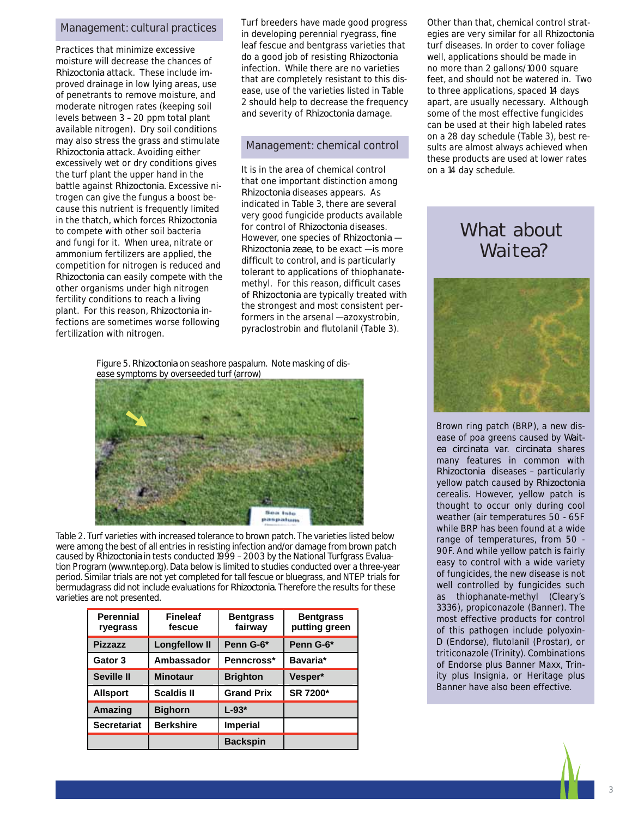### Management: cultural practices

Practices that minimize excessive moisture will decrease the chances of *Rhizoctonia* attack. These include improved drainage in low lying areas, use of penetrants to remove moisture, and moderate nitrogen rates (keeping soil levels between 3 – 20 ppm total plant available nitrogen). Dry soil conditions may also stress the grass and stimulate *Rhizoctonia* attack. Avoiding either excessively wet or dry conditions gives the turf plant the upper hand in the battle against *Rhizoctonia*. Excessive nitrogen can give the fungus a boost because this nutrient is frequently limited in the thatch, which forces *Rhizoctonia* to compete with other soil bacteria and fungi for it. When urea, nitrate or ammonium fertilizers are applied, the competition for nitrogen is reduced and *Rhizoctonia* can easily compete with the other organisms under high nitrogen fertility conditions to reach a living plant. For this reason, *Rhizoctonia* infections are sometimes worse following fertilization with nitrogen.

Turf breeders have made good progress in developing perennial ryegrass, fine leaf fescue and bentgrass varieties that do a good job of resisting *Rhizoctonia* infection. While there are no varieties that are completely resistant to this disease, use of the varieties listed in Table 2 should help to decrease the frequency and severity of *Rhizoctonia* damage.

#### Management: chemical control

It is in the area of chemical control that one important distinction among *Rhizoctonia* diseases appears. As indicated in Table 3, there are several very good fungicide products available for control of *Rhizoctonia* diseases. However, one species of *Rhizoctonia* — *Rhizoctonia zeae*, to be exact — is more difficult to control, and is particularly tolerant to applications of thiophanatemethyl. For this reason, difficult cases of *Rhizoctonia* are typically treated with the strongest and most consistent performers in the arsenal — azoxystrobin, pyraclostrobin and flutolanil (Table 3).

Figure 5. *Rhizoctonia* on seashore paspalum. Note masking of disease symptoms by overseeded turf (arrow)



Table 2. Turf varieties with increased tolerance to brown patch. The varieties listed below were among the best of all entries in resisting infection and/or damage from brown patch caused by *Rhizoctonia* in tests conducted 1999 – 2003 by the National Turfgrass Evaluation Program (www.ntep.org). Data below is limited to studies conducted over a three-year period. Similar trials are not yet completed for tall fescue or bluegrass, and NTEP trials for bermudagrass did not include evaluations for *Rhizoctonia*. Therefore the results for these varieties are not presented.

| <b>Perennial</b><br>ryegrass | <b>Fineleaf</b><br>fescue | <b>Bentgrass</b><br>fairway | <b>Bentgrass</b><br>putting green |
|------------------------------|---------------------------|-----------------------------|-----------------------------------|
| <b>Pizzazz</b>               | <b>Longfellow II</b>      | Penn G-6*                   | Penn G-6*                         |
| Gator 3                      | Ambassador                | Penncross*                  | Bavaria*                          |
| <b>Seville II</b>            | <b>Minotaur</b>           | <b>Brighton</b>             | Vesper*                           |
| <b>Allsport</b>              | <b>Scaldis II</b>         | <b>Grand Prix</b>           | SR 7200*                          |
| Amazing                      | <b>Bighorn</b>            | $L-93*$                     |                                   |
| <b>Secretariat</b>           | <b>Berkshire</b>          | <b>Imperial</b>             |                                   |
|                              |                           | <b>Backspin</b>             |                                   |

Other than that, chemical control strategies are very similar for all *Rhizoctonia* turf diseases. In order to cover foliage well, applications should be made in no more than 2 gallons/1000 square feet, and should not be watered in. Two to three applications, spaced 14 days apart, are usually necessary. Although some of the most effective fungicides can be used at their high labeled rates on a 28 day schedule (Table 3), best results are almost always achieved when these products are used at lower rates on a 14 day schedule.

# What about Waitea?



Brown ring patch (BRP), a new disease of poa greens caused by *Waitea circinata* var. *circinata* shares many features in common with *Rhizoctonia* diseases – particularly yellow patch caused by *Rhizoctonia* cerealis. However, yellow patch is thought to occur only during cool weather (air temperatures 50 - 65F while BRP has been found at a wide range of temperatures, from 50 - 90F. And while yellow patch is fairly easy to control with a wide variety of fungicides, the new disease is not well controlled by fungicides such as thiophanate-methyl (Cleary's 3336), propiconazole (Banner). The most effective products for control of this pathogen include polyoxin-D (Endorse), flutolanil (Prostar), or triticonazole (Trinity). Combinations of Endorse plus Banner Maxx, Trinity plus Insignia, or Heritage plus Banner have also been effective.



3